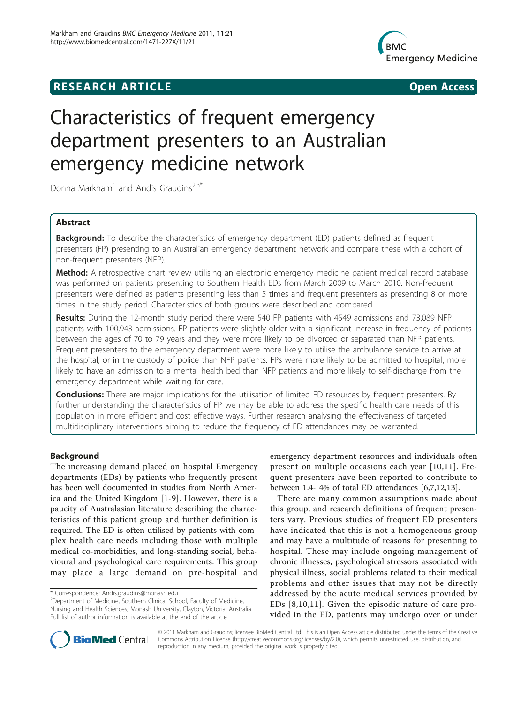# **RESEARCH ARTICLE CONSUMING A RESEARCH ARTICLE**



# Characteristics of frequent emergency department presenters to an Australian emergency medicine network

Donna Markham<sup>1</sup> and Andis Graudins<sup>2,3\*</sup>

# Abstract

Background: To describe the characteristics of emergency department (ED) patients defined as frequent presenters (FP) presenting to an Australian emergency department network and compare these with a cohort of non-frequent presenters (NFP).

Method: A retrospective chart review utilising an electronic emergency medicine patient medical record database was performed on patients presenting to Southern Health EDs from March 2009 to March 2010. Non-frequent presenters were defined as patients presenting less than 5 times and frequent presenters as presenting 8 or more times in the study period. Characteristics of both groups were described and compared.

Results: During the 12-month study period there were 540 FP patients with 4549 admissions and 73,089 NFP patients with 100,943 admissions. FP patients were slightly older with a significant increase in frequency of patients between the ages of 70 to 79 years and they were more likely to be divorced or separated than NFP patients. Frequent presenters to the emergency department were more likely to utilise the ambulance service to arrive at the hospital, or in the custody of police than NFP patients. FPs were more likely to be admitted to hospital, more likely to have an admission to a mental health bed than NFP patients and more likely to self-discharge from the emergency department while waiting for care.

**Conclusions:** There are major implications for the utilisation of limited ED resources by frequent presenters. By further understanding the characteristics of FP we may be able to address the specific health care needs of this population in more efficient and cost effective ways. Further research analysing the effectiveness of targeted multidisciplinary interventions aiming to reduce the frequency of ED attendances may be warranted.

# Background

The increasing demand placed on hospital Emergency departments (EDs) by patients who frequently present has been well documented in studies from North America and the United Kingdom [[1](#page-4-0)-[9\]](#page-4-0). However, there is a paucity of Australasian literature describing the characteristics of this patient group and further definition is required. The ED is often utilised by patients with complex health care needs including those with multiple medical co-morbidities, and long-standing social, behavioural and psychological care requirements. This group may place a large demand on pre-hospital and

emergency department resources and individuals often present on multiple occasions each year [[10,11](#page-4-0)]. Frequent presenters have been reported to contribute to between 1.4- 4% of total ED attendances [\[6,7,12,13\]](#page-4-0).

There are many common assumptions made about this group, and research definitions of frequent presenters vary. Previous studies of frequent ED presenters have indicated that this is not a homogeneous group and may have a multitude of reasons for presenting to hospital. These may include ongoing management of chronic illnesses, psychological stressors associated with physical illness, social problems related to their medical problems and other issues that may not be directly addressed by the acute medical services provided by EDs [[8](#page-4-0),[10](#page-4-0),[11\]](#page-4-0). Given the episodic nature of care provided in the ED, patients may undergo over or under



© 2011 Markham and Graudins; licensee BioMed Central Ltd. This is an Open Access article distributed under the terms of the Creative Commons Attribution License [\(http://creativecommons.org/licenses/by/2.0](http://creativecommons.org/licenses/by/2.0)), which permits unrestricted use, distribution, and reproduction in any medium, provided the original work is properly cited.

<sup>\*</sup> Correspondence: [Andis.graudins@monash.edu](mailto:Andis.graudins@monash.edu)

<sup>&</sup>lt;sup>2</sup> Department of Medicine, Southern Clinical School, Faculty of Medicine, Nursing and Health Sciences, Monash University, Clayton, Victoria, Australia Full list of author information is available at the end of the article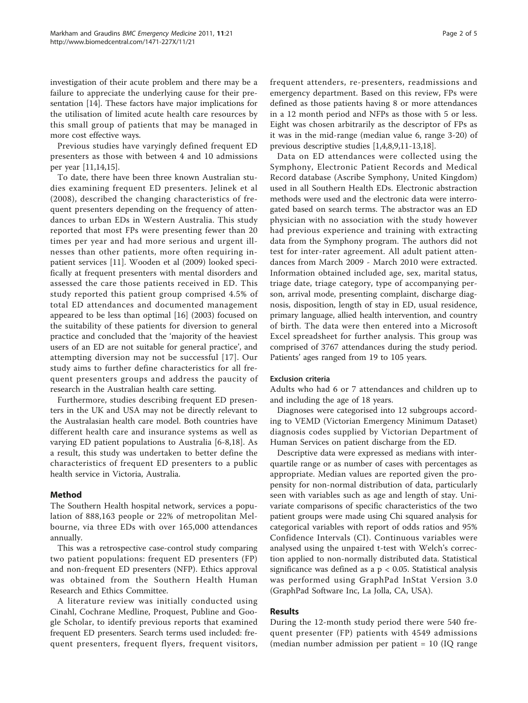investigation of their acute problem and there may be a failure to appreciate the underlying cause for their presentation [\[14](#page-4-0)]. These factors have major implications for the utilisation of limited acute health care resources by this small group of patients that may be managed in more cost effective ways.

Previous studies have varyingly defined frequent ED presenters as those with between 4 and 10 admissions per year [\[11,14,15\]](#page-4-0).

To date, there have been three known Australian studies examining frequent ED presenters. Jelinek et al (2008), described the changing characteristics of frequent presenters depending on the frequency of attendances to urban EDs in Western Australia. This study reported that most FPs were presenting fewer than 20 times per year and had more serious and urgent illnesses than other patients, more often requiring inpatient services [\[11](#page-4-0)]. Wooden et al (2009) looked specifically at frequent presenters with mental disorders and assessed the care those patients received in ED. This study reported this patient group comprised 4.5% of total ED attendances and documented management appeared to be less than optimal [\[16](#page-4-0)] (2003) focused on the suitability of these patients for diversion to general practice and concluded that the 'majority of the heaviest users of an ED are not suitable for general practice', and attempting diversion may not be successful [[17\]](#page-4-0). Our study aims to further define characteristics for all frequent presenters groups and address the paucity of research in the Australian health care setting.

Furthermore, studies describing frequent ED presenters in the UK and USA may not be directly relevant to the Australasian health care model. Both countries have different health care and insurance systems as well as varying ED patient populations to Australia [\[6](#page-4-0)-[8,18\]](#page-4-0). As a result, this study was undertaken to better define the characteristics of frequent ED presenters to a public health service in Victoria, Australia.

# Method

The Southern Health hospital network, services a population of 888,163 people or 22% of metropolitan Melbourne, via three EDs with over 165,000 attendances annually.

This was a retrospective case-control study comparing two patient populations: frequent ED presenters (FP) and non-frequent ED presenters (NFP). Ethics approval was obtained from the Southern Health Human Research and Ethics Committee.

A literature review was initially conducted using Cinahl, Cochrane Medline, Proquest, Publine and Google Scholar, to identify previous reports that examined frequent ED presenters. Search terms used included: frequent presenters, frequent flyers, frequent visitors, frequent attenders, re-presenters, readmissions and emergency department. Based on this review, FPs were

defined as those patients having 8 or more attendances in a 12 month period and NFPs as those with 5 or less. Eight was chosen arbitrarily as the descriptor of FPs as it was in the mid-range (median value 6, range 3-20) of previous descriptive studies [[1,4,8,9,11-13,18\]](#page-4-0).

Data on ED attendances were collected using the Symphony, Electronic Patient Records and Medical Record database (Ascribe Symphony, United Kingdom) used in all Southern Health EDs. Electronic abstraction methods were used and the electronic data were interrogated based on search terms. The abstractor was an ED physician with no association with the study however had previous experience and training with extracting data from the Symphony program. The authors did not test for inter-rater agreement. All adult patient attendances from March 2009 - March 2010 were extracted. Information obtained included age, sex, marital status, triage date, triage category, type of accompanying person, arrival mode, presenting complaint, discharge diagnosis, disposition, length of stay in ED, usual residence, primary language, allied health intervention, and country of birth. The data were then entered into a Microsoft Excel spreadsheet for further analysis. This group was comprised of 3767 attendances during the study period. Patients' ages ranged from 19 to 105 years.

# Exclusion criteria

Adults who had 6 or 7 attendances and children up to and including the age of 18 years.

Diagnoses were categorised into 12 subgroups according to VEMD (Victorian Emergency Minimum Dataset) diagnosis codes supplied by Victorian Department of Human Services on patient discharge from the ED.

Descriptive data were expressed as medians with interquartile range or as number of cases with percentages as appropriate. Median values are reported given the propensity for non-normal distribution of data, particularly seen with variables such as age and length of stay. Univariate comparisons of specific characteristics of the two patient groups were made using Chi squared analysis for categorical variables with report of odds ratios and 95% Confidence Intervals (CI). Continuous variables were analysed using the unpaired t-test with Welch's correction applied to non-normally distributed data. Statistical significance was defined as a  $p < 0.05$ . Statistical analysis was performed using GraphPad InStat Version 3.0 (GraphPad Software Inc, La Jolla, CA, USA).

# Results

During the 12-month study period there were 540 frequent presenter (FP) patients with 4549 admissions (median number admission per patient  $= 10$  (IQ range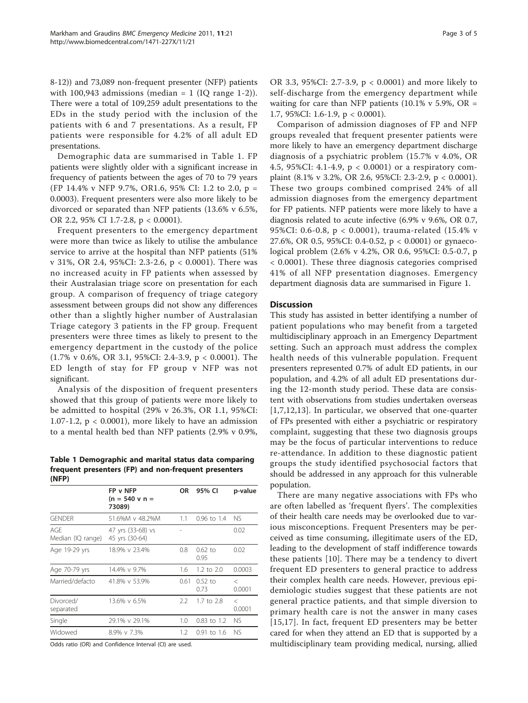8-12)) and 73,089 non-frequent presenter (NFP) patients with 100,943 admissions (median =  $1$  (IQ range 1-2)). There were a total of 109,259 adult presentations to the EDs in the study period with the inclusion of the patients with 6 and 7 presentations. As a result, FP patients were responsible for 4.2% of all adult ED presentations.

Demographic data are summarised in Table 1. FP patients were slightly older with a significant increase in frequency of patients between the ages of 70 to 79 years (FP 14.4% v NFP 9.7%, OR1.6, 95% CI: 1.2 to 2.0, p = 0.0003). Frequent presenters were also more likely to be divorced or separated than NFP patients (13.6% v 6.5%, OR 2.2, 95% CI 1.7-2.8, p < 0.0001).

Frequent presenters to the emergency department were more than twice as likely to utilise the ambulance service to arrive at the hospital than NFP patients (51% v 31%, OR 2.4, 95%CI: 2.3-2.6, p < 0.0001). There was no increased acuity in FP patients when assessed by their Australasian triage score on presentation for each group. A comparison of frequency of triage category assessment between groups did not show any differences other than a slightly higher number of Australasian Triage category 3 patients in the FP group. Frequent presenters were three times as likely to present to the emergency department in the custody of the police (1.7% v 0.6%, OR 3.1, 95%CI: 2.4-3.9, p < 0.0001). The ED length of stay for FP group v NFP was not significant.

Analysis of the disposition of frequent presenters showed that this group of patients were more likely to be admitted to hospital (29% v 26.3%, OR 1.1, 95%CI: 1.07-1.2,  $p < 0.0001$ ), more likely to have an admission to a mental health bed than NFP patients (2.9% v 0.9%,

Table 1 Demographic and marital status data comparing frequent presenters (FP) and non-frequent presenters (NFP)

|                          | FP v NFP<br>$(n = 540 \text{ v } n =$<br>73089) | 0R            | 95% CI            | p-value           |
|--------------------------|-------------------------------------------------|---------------|-------------------|-------------------|
| <b>GENDER</b>            | 51.6%M v 48.2%M                                 | 1.1           | 0.96 to 1.4       | NS.               |
| AGF<br>Median (IQ range) | 47 yrs (33-68) vs<br>45 yrs (30-64)             |               |                   | 0.02              |
| Age 19-29 yrs            | 18.9% v 23.4%                                   | 0.8           | $0.62$ to<br>0.95 | 0.02              |
| Age 70-79 yrs            | 14.4% v 9.7%                                    | 1.6           | 1.2 to 2.0        | 0.0003            |
| Married/defacto          | 41.8% v 53.9%                                   | 0.61          | $0.52$ to<br>0.73 | $\rm <$<br>0.0001 |
| Divorced/<br>separated   | 13.6% v 6.5%                                    | 2.2           | 1.7 to 2.8        | $\,<$<br>0.0001   |
| Single                   | 29.1% v 29.1%                                   | 1.0           | $0.83$ to 1.2     | <b>NS</b>         |
| Widowed                  | 8.9% v 7.3%                                     | $1.2^{\circ}$ | $0.91$ to 1.6     | <b>NS</b>         |
|                          |                                                 |               |                   |                   |

Odds ratio (OR) and Confidence Interval (CI) are used.

OR 3.3, 95%CI: 2.7-3.9, p < 0.0001) and more likely to self-discharge from the emergency department while waiting for care than NFP patients (10.1% v 5.9%, OR = 1.7, 95%CI: 1.6-1.9, p < 0.0001).

Comparison of admission diagnoses of FP and NFP groups revealed that frequent presenter patients were more likely to have an emergency department discharge diagnosis of a psychiatric problem (15.7% v 4.0%, OR 4.5, 95%CI: 4.1-4.9, p < 0.0001) or a respiratory complaint (8.1% v 3.2%, OR 2.6, 95%CI: 2.3-2.9, p < 0.0001). These two groups combined comprised 24% of all admission diagnoses from the emergency department for FP patients. NFP patients were more likely to have a diagnosis related to acute infective (6.9% v 9.6%, OR 0.7, 95%CI: 0.6-0.8, p < 0.0001), trauma-related (15.4% v 27.6%, OR 0.5, 95%CI: 0.4-0.52, p < 0.0001) or gynaecological problem (2.6% v 4.2%, OR 0.6, 95%CI: 0.5-0.7, p < 0.0001). These three diagnosis categories comprised 41% of all NFP presentation diagnoses. Emergency department diagnosis data are summarised in Figure [1.](#page-3-0)

## **Discussion**

This study has assisted in better identifying a number of patient populations who may benefit from a targeted multidisciplinary approach in an Emergency Department setting. Such an approach must address the complex health needs of this vulnerable population. Frequent presenters represented 0.7% of adult ED patients, in our population, and 4.2% of all adult ED presentations during the 12-month study period. These data are consistent with observations from studies undertaken overseas [[1,7](#page-4-0),[12,13](#page-4-0)]. In particular, we observed that one-quarter of FPs presented with either a psychiatric or respiratory complaint, suggesting that these two diagnosis groups may be the focus of particular interventions to reduce re-attendance. In addition to these diagnostic patient groups the study identified psychosocial factors that should be addressed in any approach for this vulnerable population.

There are many negative associations with FPs who are often labelled as 'frequent flyers'. The complexities of their health care needs may be overlooked due to various misconceptions. Frequent Presenters may be perceived as time consuming, illegitimate users of the ED, leading to the development of staff indifference towards these patients [\[10\]](#page-4-0). There may be a tendency to divert frequent ED presenters to general practice to address their complex health care needs. However, previous epidemiologic studies suggest that these patients are not general practice patients, and that simple diversion to primary health care is not the answer in many cases [[15](#page-4-0),[17](#page-4-0)]. In fact, frequent ED presenters may be better cared for when they attend an ED that is supported by a multidisciplinary team providing medical, nursing, allied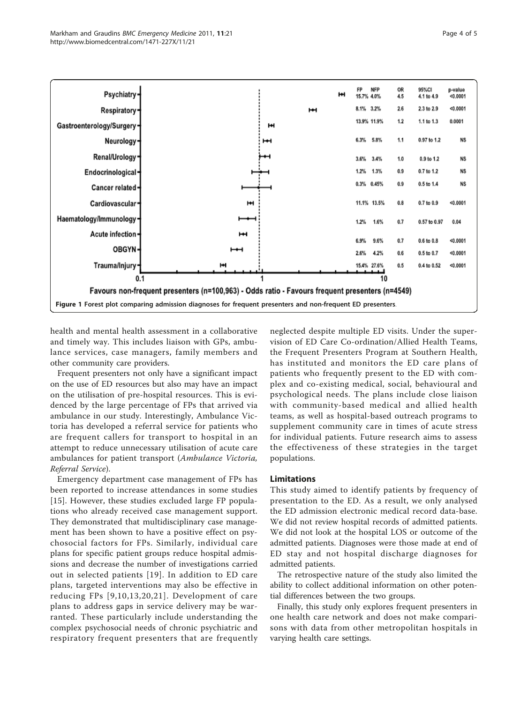<span id="page-3-0"></span>

health and mental health assessment in a collaborative and timely way. This includes liaison with GPs, ambulance services, case managers, family members and other community care providers.

Frequent presenters not only have a significant impact on the use of ED resources but also may have an impact on the utilisation of pre-hospital resources. This is evidenced by the large percentage of FPs that arrived via ambulance in our study. Interestingly, Ambulance Victoria has developed a referral service for patients who are frequent callers for transport to hospital in an attempt to reduce unnecessary utilisation of acute care ambulances for patient transport (Ambulance Victoria, Referral Service).

Emergency department case management of FPs has been reported to increase attendances in some studies [[15](#page-4-0)]. However, these studies excluded large FP populations who already received case management support. They demonstrated that multidisciplinary case management has been shown to have a positive effect on psychosocial factors for FPs. Similarly, individual care plans for specific patient groups reduce hospital admissions and decrease the number of investigations carried out in selected patients [[19](#page-4-0)]. In addition to ED care plans, targeted interventions may also be effective in reducing FPs [[9,10](#page-4-0),[13](#page-4-0),[20,21](#page-4-0)]. Development of care plans to address gaps in service delivery may be warranted. These particularly include understanding the complex psychosocial needs of chronic psychiatric and respiratory frequent presenters that are frequently

neglected despite multiple ED visits. Under the supervision of ED Care Co-ordination/Allied Health Teams, the Frequent Presenters Program at Southern Health, has instituted and monitors the ED care plans of patients who frequently present to the ED with complex and co-existing medical, social, behavioural and psychological needs. The plans include close liaison with community-based medical and allied health teams, as well as hospital-based outreach programs to supplement community care in times of acute stress for individual patients. Future research aims to assess the effectiveness of these strategies in the target populations.

#### Limitations

This study aimed to identify patients by frequency of presentation to the ED. As a result, we only analysed the ED admission electronic medical record data-base. We did not review hospital records of admitted patients. We did not look at the hospital LOS or outcome of the admitted patients. Diagnoses were those made at end of ED stay and not hospital discharge diagnoses for admitted patients.

The retrospective nature of the study also limited the ability to collect additional information on other potential differences between the two groups.

Finally, this study only explores frequent presenters in one health care network and does not make comparisons with data from other metropolitan hospitals in varying health care settings.